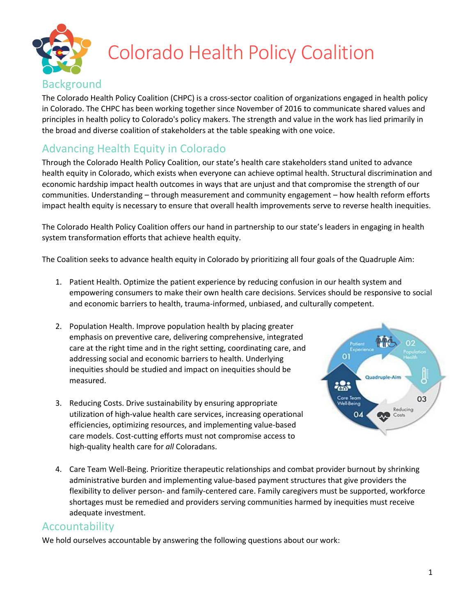

## Colorado Health Policy Coalition

### Background

The Colorado Health Policy Coalition (CHPC) is a cross-sector coalition of organizations engaged in health policy in Colorado. The CHPC has been working together since November of 2016 to communicate shared values and principles in health policy to Colorado's policy makers. The strength and value in the work has lied primarily in the broad and diverse coalition of stakeholders at the table speaking with one voice.

### Advancing Health Equity in Colorado

Through the Colorado Health Policy Coalition, our state's health care stakeholders stand united to advance health equity in Colorado, which exists when everyone can achieve optimal health. Structural discrimination and economic hardship impact health outcomes in ways that are unjust and that compromise the strength of our communities. Understanding – through measurement and community engagement – how health reform efforts impact health equity is necessary to ensure that overall health improvements serve to reverse health inequities.

The Colorado Health Policy Coalition offers our hand in partnership to our state's leaders in engaging in health system transformation efforts that achieve health equity.

The Coalition seeks to advance health equity in Colorado by prioritizing all four goals of the Quadruple Aim:

- 1. Patient Health. Optimize the patient experience by reducing confusion in our health system and empowering consumers to make their own health care decisions. Services should be responsive to social and economic barriers to health, trauma-informed, unbiased, and culturally competent.
- 2. Population Health. Improve population health by placing greater emphasis on preventive care, delivering comprehensive, integrated care at the right time and in the right setting, coordinating care, and addressing social and economic barriers to health. Underlying inequities should be studied and impact on inequities should be measured.
- 3. Reducing Costs. Drive sustainability by ensuring appropriate utilization of high-value health care services, increasing operational efficiencies, optimizing resources, and implementing value-based care models. Cost-cutting efforts must not compromise access to high-quality health care for *all* Coloradans.



4. Care Team Well-Being. Prioritize therapeutic relationships and combat provider burnout by shrinking administrative burden and implementing value-based payment structures that give providers the flexibility to deliver person- and family-centered care. Family caregivers must be supported, workforce shortages must be remedied and providers serving communities harmed by inequities must receive adequate investment.

#### Accountability

We hold ourselves accountable by answering the following questions about our work: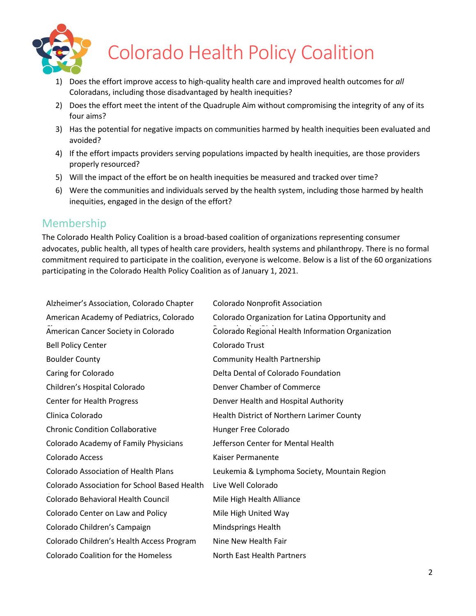

# Colorado Health Policy Coalition

- 1) Does the effort improve access to high-quality health care and improved health outcomes for *all*  Coloradans, including those disadvantaged by health inequities?
- 2) Does the effort meet the intent of the Quadruple Aim without compromising the integrity of any of its four aims?
- 3) Has the potential for negative impacts on communities harmed by health inequities been evaluated and avoided?
- 4) If the effort impacts providers serving populations impacted by health inequities, are those providers properly resourced?
- 5) Will the impact of the effort be on health inequities be measured and tracked over time?
- 6) Were the communities and individuals served by the health system, including those harmed by health inequities, engaged in the design of the effort?

### Membership

The Colorado Health Policy Coalition is a broad-based coalition of organizations representing consumer advocates, public health, all types of health care providers, health systems and philanthropy. There is no formal commitment required to participate in the coalition, everyone is welcome. Below is a list of the 60 organizations participating in the Colorado Health Policy Coalition as of January 1, 2021.

| Alzheimer's Association, Colorado Chapter           | <b>Colorado Nonprofit Association</b>             |
|-----------------------------------------------------|---------------------------------------------------|
| American Academy of Pediatrics, Colorado            | Colorado Organization for Latina Opportunity and  |
| American Cancer Society in Colorado                 | Colorado Regional Health Information Organization |
| <b>Bell Policy Center</b>                           | Colorado Trust                                    |
| <b>Boulder County</b>                               | <b>Community Health Partnership</b>               |
| Caring for Colorado                                 | Delta Dental of Colorado Foundation               |
| Children's Hospital Colorado                        | Denver Chamber of Commerce                        |
| Center for Health Progress                          | Denver Health and Hospital Authority              |
| Clinica Colorado                                    | Health District of Northern Larimer County        |
| <b>Chronic Condition Collaborative</b>              | Hunger Free Colorado                              |
| Colorado Academy of Family Physicians               | Jefferson Center for Mental Health                |
| Colorado Access                                     | Kaiser Permanente                                 |
| <b>Colorado Association of Health Plans</b>         | Leukemia & Lymphoma Society, Mountain Region      |
| <b>Colorado Association for School Based Health</b> | Live Well Colorado                                |
| Colorado Behavioral Health Council                  | Mile High Health Alliance                         |
| Colorado Center on Law and Policy                   | Mile High United Way                              |
| Colorado Children's Campaign                        | Mindsprings Health                                |
| Colorado Children's Health Access Program           | Nine New Health Fair                              |
| <b>Colorado Coalition for the Homeless</b>          | North East Health Partners                        |